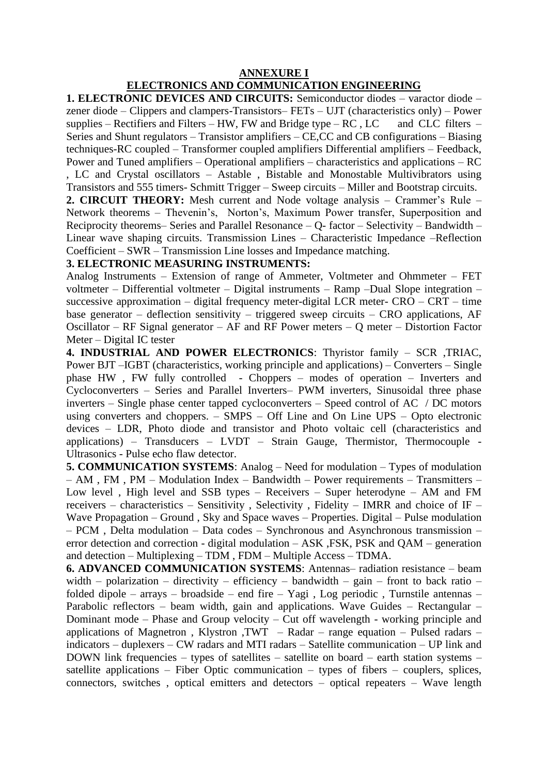# **ANNEXURE I**

# **ELECTRONICS AND COMMUNICATION ENGINEERING**

**1. ELECTRONIC DEVICES AND CIRCUITS:** Semiconductor diodes – varactor diode – zener diode – Clippers and clampers-Transistors– FETs – UJT (characteristics only) – Power supplies – Rectifiers and Filters – HW, FW and Bridge type –  $RC$ ,  $LC$  and  $CLC$  filters – Series and Shunt regulators – Transistor amplifiers – CE,CC and CB configurations – Biasing techniques-RC coupled – Transformer coupled amplifiers Differential amplifiers – Feedback, Power and Tuned amplifiers – Operational amplifiers – characteristics and applications – RC , LC and Crystal oscillators – Astable , Bistable and Monostable Multivibrators using

Transistors and 555 timers- Schmitt Trigger – Sweep circuits – Miller and Bootstrap circuits.

**2. CIRCUIT THEORY:** Mesh current and Node voltage analysis – Crammer's Rule – Network theorems – Thevenin's, Norton's, Maximum Power transfer, Superposition and Reciprocity theorems– Series and Parallel Resonance – Q- factor – Selectivity – Bandwidth – Linear wave shaping circuits. Transmission Lines – Characteristic Impedance –Reflection Coefficient – SWR – Transmission Line losses and Impedance matching.

# **3. ELECTRONIC MEASURING INSTRUMENTS:**

Analog Instruments – Extension of range of Ammeter, Voltmeter and Ohmmeter – FET voltmeter – Differential voltmeter – Digital instruments – Ramp –Dual Slope integration – successive approximation – digital frequency meter-digital LCR meter- CRO – CRT – time base generator – deflection sensitivity – triggered sweep circuits – CRO applications, AF Oscillator – RF Signal generator – AF and RF Power meters – Q meter – Distortion Factor Meter – Digital IC tester

**4. INDUSTRIAL AND POWER ELECTRONICS**: Thyristor family – SCR ,TRIAC, Power BJT –IGBT (characteristics, working principle and applications) – Converters – Single phase HW , FW fully controlled - Choppers – modes of operation – Inverters and Cycloconverters – Series and Parallel Inverters– PWM inverters, Sinusoidal three phase inverters – Single phase center tapped cycloconverters – Speed control of AC / DC motors using converters and choppers. – SMPS – Off Line and On Line UPS – Opto electronic devices – LDR, Photo diode and transistor and Photo voltaic cell (characteristics and applications) – Transducers – LVDT – Strain Gauge, Thermistor, Thermocouple - Ultrasonics - Pulse echo flaw detector.

**5. COMMUNICATION SYSTEMS**: Analog – Need for modulation – Types of modulation – AM , FM , PM – Modulation Index – Bandwidth – Power requirements – Transmitters – Low level , High level and SSB types – Receivers – Super heterodyne – AM and FM receivers – characteristics – Sensitivity , Selectivity , Fidelity – IMRR and choice of IF – Wave Propagation – Ground , Sky and Space waves – Properties. Digital – Pulse modulation – PCM , Delta modulation – Data codes – Synchronous and Asynchronous transmission – error detection and correction - digital modulation – ASK ,FSK, PSK and QAM – generation and detection – Multiplexing – TDM , FDM – Multiple Access – TDMA.

**6. ADVANCED COMMUNICATION SYSTEMS**: Antennas– radiation resistance – beam width – polarization – directivity – efficiency – bandwidth – gain – front to back ratio – folded dipole – arrays – broadside – end fire – Yagi, Log periodic, Turnstile antennas – Parabolic reflectors – beam width, gain and applications. Wave Guides – Rectangular – Dominant mode – Phase and Group velocity – Cut off wavelength - working principle and applications of Magnetron , Klystron ,TWT – Radar – range equation – Pulsed radars – indicators – duplexers – CW radars and MTI radars – Satellite communication – UP link and DOWN link frequencies – types of satellites – satellite on board – earth station systems – satellite applications – Fiber Optic communication – types of fibers – couplers, splices, connectors, switches , optical emitters and detectors – optical repeaters – Wave length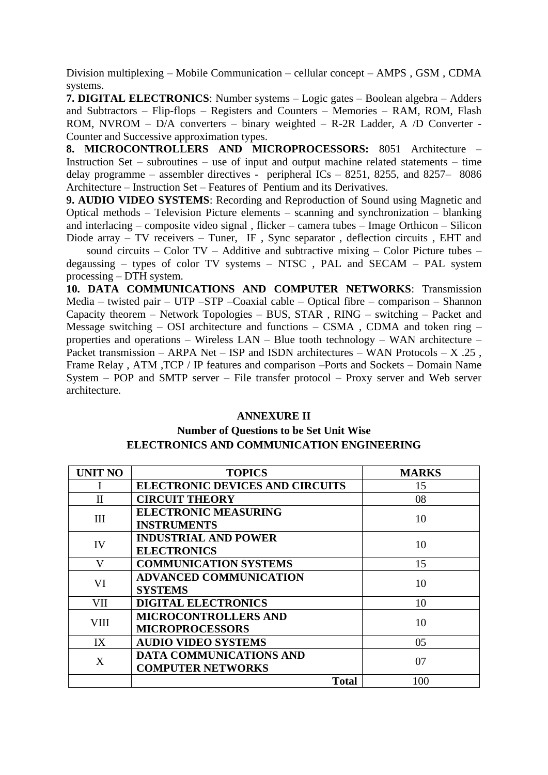Division multiplexing – Mobile Communication – cellular concept – AMPS , GSM , CDMA systems.

**7. DIGITAL ELECTRONICS**: Number systems – Logic gates – Boolean algebra – Adders and Subtractors – Flip-flops – Registers and Counters – Memories – RAM, ROM, Flash ROM, NVROM – D/A converters – binary weighted – R-2R Ladder, A /D Converter - Counter and Successive approximation types.

**8. MICROCONTROLLERS AND MICROPROCESSORS:** 8051 Architecture – Instruction Set – subroutines – use of input and output machine related statements – time delay programme – assembler directives - peripheral ICs – 8251, 8255, and 8257– 8086 Architecture – Instruction Set – Features of Pentium and its Derivatives.

**9. AUDIO VIDEO SYSTEMS**: Recording and Reproduction of Sound using Magnetic and Optical methods – Television Picture elements – scanning and synchronization – blanking and interlacing – composite video signal , flicker – camera tubes – Image Orthicon – Silicon Diode array – TV receivers – Tuner, IF, Sync separator, deflection circuits, EHT and

sound circuits – Color TV – Additive and subtractive mixing – Color Picture tubes – degaussing – types of color TV systems – NTSC , PAL and SECAM – PAL system processing – DTH system.

**10. DATA COMMUNICATIONS AND COMPUTER NETWORKS**: Transmission Media – twisted pair – UTP –STP –Coaxial cable – Optical fibre – comparison – Shannon Capacity theorem – Network Topologies – BUS, STAR , RING – switching – Packet and Message switching – OSI architecture and functions – CSMA , CDMA and token ring – properties and operations – Wireless LAN – Blue tooth technology – WAN architecture – Packet transmission – ARPA Net – ISP and ISDN architectures – WAN Protocols –  $X$  .25, Frame Relay , ATM ,TCP / IP features and comparison –Ports and Sockets – Domain Name System – POP and SMTP server – File transfer protocol – Proxy server and Web server architecture.

#### **ANNEXURE II**

## **Number of Questions to be Set Unit Wise ELECTRONICS AND COMMUNICATION ENGINEERING**

| <b>UNIT NO</b> | <b>TOPICS</b>                          | <b>MARKS</b> |
|----------------|----------------------------------------|--------------|
|                | <b>ELECTRONIC DEVICES AND CIRCUITS</b> | 15           |
| $\mathbf{I}$   | <b>CIRCUIT THEORY</b>                  | 08           |
| III            | <b>ELECTRONIC MEASURING</b>            | 10           |
|                | <b>INSTRUMENTS</b>                     |              |
| IV             | <b>INDUSTRIAL AND POWER</b>            | 10           |
|                | <b>ELECTRONICS</b>                     |              |
| $\mathbf{V}$   | <b>COMMUNICATION SYSTEMS</b>           | 15           |
| VI             | <b>ADVANCED COMMUNICATION</b>          | 10           |
|                | <b>SYSTEMS</b>                         |              |
| VII            | <b>DIGITAL ELECTRONICS</b>             | 10           |
| <b>VIII</b>    | <b>MICROCONTROLLERS AND</b>            | 10           |
|                | <b>MICROPROCESSORS</b>                 |              |
| IX             | <b>AUDIO VIDEO SYSTEMS</b>             | 05           |
| X              | <b>DATA COMMUNICATIONS AND</b>         | 07           |
|                | <b>COMPUTER NETWORKS</b>               |              |
|                | <b>Total</b>                           | 100          |